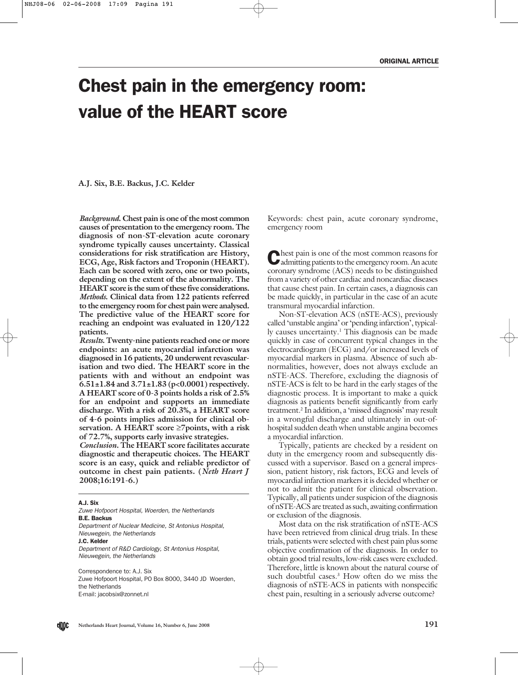# Chest pain in the emergency room: value of the HEART score

**A.J. Six, B.E. Backus, J.C. Kelder**

*Background***. Chest pain is one of the most common causes of presentation to the emergency room. The diagnosis of non-ST-elevation acute coronary syndrome typically causes uncertainty. Classical considerations for risk stratification are History, ECG, Age, Risk factors and Troponin (HEART). Each can be scored with zero, one or two points, depending on the extent of the abnormality. The HEART score is the sum of these five considerations.** *Methods***. Clinical data from 122 patients referred to the emergency room for chest pain were analysed. The predictive value of the HEART score for reaching an endpoint was evaluated in 120/122 patients.**

*Results***. Twenty-nine patients reached one or more endpoints: an acute myocardial infarction was diagnosed in 16 patients, 20 underwent revascularisation and two died. The HEART score in the patients with and without an endpoint was 6.51±1.84 and 3.71±1.83 (p<0.0001) respectively. A HEART score of 0-3 points holds a risk of 2.5% for an endpoint and supports an immediate discharge. With a risk of 20.3%, a HEART score of 4-6 points implies admission for clinical observation. A HEART score** ≥**7points, with a risk of 72.7%, supports early invasive strategies.**

*Conclusion***. The HEART score facilitates accurate diagnostic and therapeutic choices. The HEART score is an easy, quick and reliable predictor of outcome in chest pain patients. (***Neth Heart J* **2008;16:191-6.)**

#### A.J. Six

Zuwe Hofpoort Hospital, Woerden, the Netherlands B.E. Backus Department of Nuclear Medicine, St Antonius Hospital,

Nieuwegein, the Netherlands

J.C. Kelder

Department of R&D Cardiology, St Antonius Hospital, Nieuwegein, the Netherlands

Correspondence to: A.J. Six Zuwe Hofpoort Hospital, PO Box 8000, 3440 JD Woerden, the Netherlands E-mail: jacobsix@zonnet.nl

Keywords: chest pain, acute coronary syndrome, emergency room

Chest pain is one of the most common reasons for admitting patients to the emergency room. An acute coronary syndrome (ACS) needs to be distinguished from a variety of other cardiac and noncardiac diseases that cause chest pain. In certain cases, a diagnosis can be made quickly, in particular in the case of an acute transmural myocardial infarction.

Non-ST-elevation ACS (nSTE-ACS), previously called 'unstable angina' or 'pending infarction', typically causes uncertainty.1 This diagnosis can be made quickly in case of concurrent typical changes in the electrocardiogram (ECG) and/or increased levels of myocardial markers in plasma. Absence of such abnormalities, however, does not always exclude an nSTE-ACS. Therefore, excluding the diagnosis of nSTE-ACS is felt to be hard in the early stages of the diagnostic process. It is important to make a quick diagnosis as patients benefit significantly from early treatment.2 In addition, a 'missed diagnosis' may result in a wrongful discharge and ultimately in out-ofhospital sudden death when unstable angina becomes a myocardial infarction.

Typically, patients are checked by a resident on duty in the emergency room and subsequently discussed with a supervisor. Based on a general impression, patient history, risk factors, ECG and levels of myocardial infarction markers it is decided whether or not to admit the patient for clinical observation. Typically, all patients under suspicion of the diagnosis of nSTE-ACS are treated as such, awaiting confirmation or exclusion of the diagnosis.

Most data on the risk stratification of nSTE-ACS have been retrieved from clinical drug trials. In these trials, patients were selected with chest pain plus some objective confirmation of the diagnosis. In order to obtain good trial results, low-risk cases were excluded. Therefore, little is known about the natural course of such doubtful cases.<sup>3</sup> How often do we miss the diagnosis of nSTE-ACS in patients with nonspecific chest pain, resulting in a seriously adverse outcome?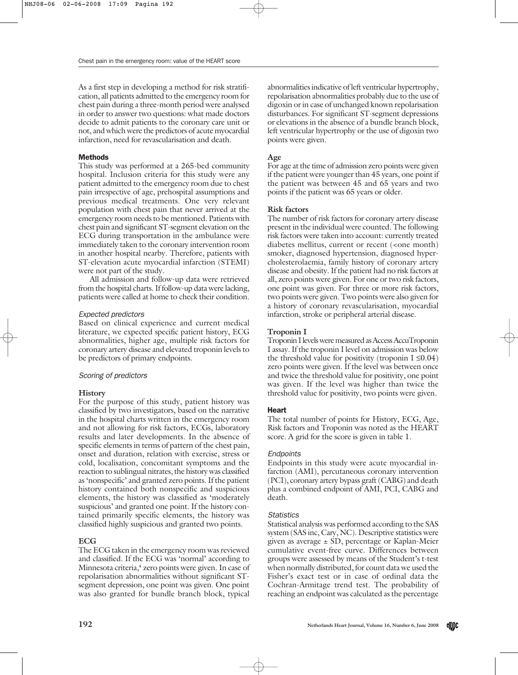As a first step in developing a method for risk stratification, all patients admitted to the emergency room for chest pain during a three-month period were analysed in order to answer two questions: what made doctors decide to admit patients to the coronary care unit or not, and which were the predictors of acute myocardial infarction, need for revascularisation and death.

# Methods

This study was performed at a 265-bed community hospital. Inclusion criteria for this study were any patient admitted to the emergency room due to chest pain irrespective of age, prehospital assumptions and previous medical treatments. One very relevant population with chest pain that never arrived at the emergency room needs to be mentioned. Patients with chest pain and significant ST-segment elevation on the ECG during transportation in the ambulance were immediately taken to the coronary intervention room in another hospital nearby. Therefore, patients with ST-elevation acute myocardial infarction (STEMI) were not part of the study.

All admission and follow-up data were retrieved from the hospital charts. If follow-up data were lacking, patients were called at home to check their condition.

# Expected predictors

Based on clinical experience and current medical literature, we expected specific patient history, ECG abnormalities, higher age, multiple risk factors for coronary artery disease and elevated troponin levels to be predictors of primary endpoints.

# Scoring of predictors

# **History**

For the purpose of this study, patient history was classified by two investigators, based on the narrative in the hospital charts written in the emergency room and not allowing for risk factors, ECGs, laboratory results and later developments. In the absence of specific elements in terms of pattern of the chest pain, onset and duration, relation with exercise, stress or cold, localisation, concomitant symptoms and the reaction to sublingual nitrates, the history was classified as 'nonspecific' and granted zero points. If the patient history contained both nonspecific and suspicious elements, the history was classified as 'moderately suspicious' and granted one point. If the history contained primarily specific elements, the history was classified highly suspicious and granted two points.

# **ECG**

The ECG taken in the emergency room was reviewed and classified. If the ECG was 'normal' according to Minnesota criteria,<sup>4</sup> zero points were given. In case of repolarisation abnormalities without significant STsegment depression, one point was given. One point was also granted for bundle branch block, typical

abnormalities indicative of left ventricular hypertrophy, repolarisation abnormalities probably due to the use of digoxin or in case of unchanged known repolarisation disturbances. For significant ST-segment depressions or elevations in the absence of a bundle branch block, left ventricular hypertrophy or the use of digoxin two points were given.

# **Age**

For age at the time of admission zero points were given if the patient were younger than 45 years, one point if the patient was between 45 and 65 years and two points if the patient was 65 years or older.

# **Risk factors**

The number of risk factors for coronary artery disease present in the individual were counted. The following risk factors were taken into account: currently treated diabetes mellitus, current or recent (<one month) smoker, diagnosed hypertension, diagnosed hypercholesterolaemia, family history of coronary artery disease and obesity. If the patient had no risk factors at all, zero points were given. For one or two risk factors, one point was given. For three or more risk factors, two points were given. Two points were also given for a history of coronary revascularisation, myocardial infarction, stroke or peripheral arterial disease.

# **Troponin I**

Troponin I levels were measured as Access AccuTroponin I assay. If the troponin I level on admission was below the threshold value for positivity (troponin  $I \leq 0.04$ ) zero points were given. If the level was between once and twice the threshold value for positivity, one point was given. If the level was higher than twice the threshold value for positivity, two points were given.

# Heart

The total number of points for History, ECG, Age, Risk factors and Troponin was noted as the HEART score. A grid for the score is given in table 1.

# **Endpoints**

Endpoints in this study were acute myocardial infarction (AMI), percutaneous coronary intervention (PCI), coronary artery bypass graft (CABG) and death plus a combined endpoint of AMI, PCI, CABG and death.

# **Statistics**

Statistical analysis was performed according to the SAS system (SAS inc, Cary, NC). Descriptive statistics were given as average  $\pm$  SD, percentage or Kaplan-Meier cumulative event-free curve. Differences between groups were assessed by means of the Student's t-test when normally distributed, for count data we used the Fisher's exact test or in case of ordinal data the Cochran-Armitage trend test. The probability of reaching an endpoint was calculated as the percentage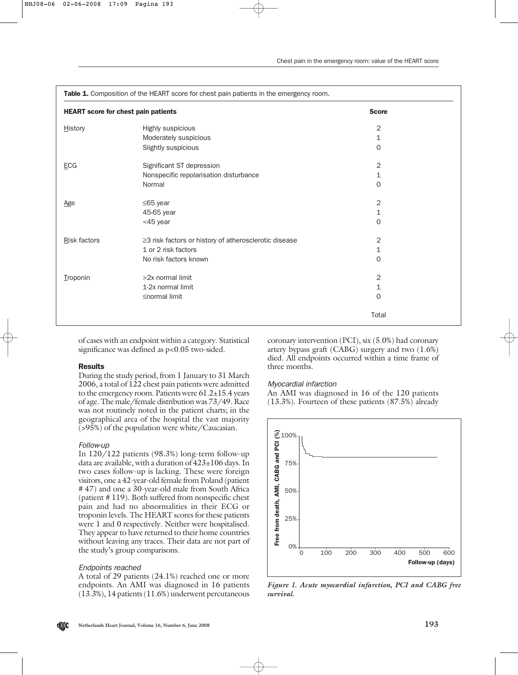| <b>HEART score for chest pain patients</b> | <b>Score</b>                                          |                |
|--------------------------------------------|-------------------------------------------------------|----------------|
| <b>History</b>                             | Highly suspicious                                     | 2              |
|                                            | Moderately suspicious                                 | 1              |
|                                            | Slightly suspicious                                   | $\Omega$       |
| ECG                                        | Significant ST depression                             | 2              |
|                                            | Nonspecific repolarisation disturbance                | 1              |
|                                            | Normal                                                | $\Omega$       |
| Age                                        | $≤65$ year                                            | $\overline{2}$ |
|                                            | 45-65 year                                            | 1              |
|                                            | <45 year                                              | 0              |
| Risk factors                               | ≥3 risk factors or history of atherosclerotic disease | 2              |
|                                            | 1 or 2 risk factors                                   | 1              |
|                                            | No risk factors known                                 | 0              |
| Troponin                                   | >2x normal limit                                      | 2              |
|                                            | 1-2x normal limit                                     | 1              |
|                                            | ≤normal limit                                         | 0              |
|                                            |                                                       | Total          |

of cases with an endpoint within a category. Statistical significance was defined as  $p<0.05$  two-sided.

## Results

During the study period, from 1 January to 31 March 2006, a total of 122 chest pain patients were admitted to the emergency room. Patients were  $61.2 \pm 15.4$  years of age. The male/female distribution was 73/49. Race was not routinely noted in the patient charts; in the geographical area of the hospital the vast majority (>95%) of the population were white/Caucasian.

## Follow-up

In 120/122 patients (98.3%) long-term follow-up data are available, with a duration of  $423\pm106$  days. In two cases follow-up is lacking. These were foreign visitors, one a 42-year-old female from Poland (patient # 47) and one a 30-year-old male from South Africa (patient # 119). Both suffered from nonspecific chest pain and had no abnormalities in their ECG or troponin levels. The HEART scores for these patients were 1 and 0 respectively. Neither were hospitalised. They appear to have returned to their home countries without leaving any traces. Their data are not part of the study's group comparisons.

## Endpoints reached

A total of 29 patients (24.1%) reached one or more endpoints. An AMI was diagnosed in 16 patients (13.3%), 14 patients (11.6%) underwent percutaneous coronary intervention (PCI), six (5.0%) had coronary artery bypass graft (CABG) surgery and two (1.6%) died. All endpoints occurred within a time frame of three months.

### Myocardial infarction

An AMI was diagnosed in 16 of the 120 patients (13.3%). Fourteen of these patients (87.5%) already



*Figure 1. Acute myocardial infarction, PCI and CABG free survival.*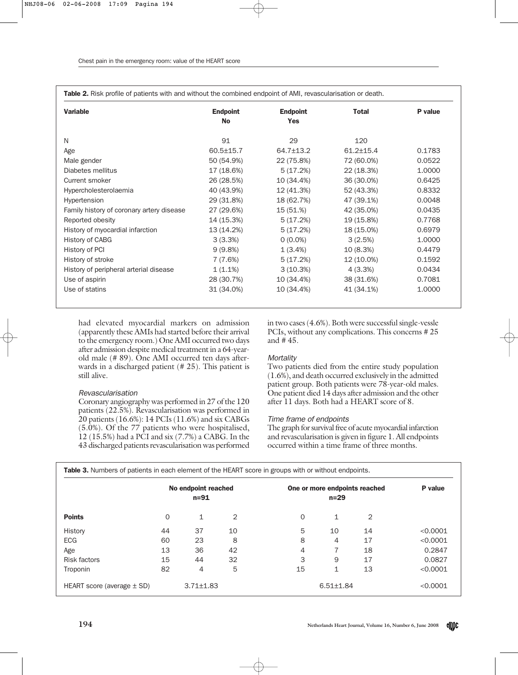Table 2. Risk profile of patients with and without the combined endpoint of AMI, revascularisation or death.

| <b>Variable</b>                           | <b>Endpoint</b> | <b>Endpoint</b> | <b>Total</b>    | P value |
|-------------------------------------------|-----------------|-----------------|-----------------|---------|
|                                           | <b>No</b>       | <b>Yes</b>      |                 |         |
| N                                         | 91              | 29              | 120             |         |
| Age                                       | $60.5 \pm 15.7$ | 64.7±13.2       | $61.2 \pm 15.4$ | 0.1783  |
| Male gender                               | 50 (54.9%)      | 22 (75.8%)      | 72 (60.0%)      | 0.0522  |
| Diabetes mellitus                         | 17 (18.6%)      | 5(17.2%)        | 22 (18.3%)      | 1.0000  |
| Current smoker                            | 26 (28.5%)      | 10 (34.4%)      | 36 (30.0%)      | 0.6425  |
| Hypercholesterolaemia                     | 40 (43.9%)      | 12 (41.3%)      | 52 (43.3%)      | 0.8332  |
| Hypertension                              | 29 (31.8%)      | 18 (62.7%)      | 47 (39.1%)      | 0.0048  |
| Family history of coronary artery disease | 27 (29.6%)      | 15 (51.%)       | 42 (35.0%)      | 0.0435  |
| Reported obesity                          | 14 (15.3%)      | 5(17.2%)        | 19 (15.8%)      | 0.7768  |
| History of myocardial infarction          | 13 (14.2%)      | 5(17.2%)        | 18 (15.0%)      | 0.6979  |
| History of CABG                           | 3(3.3%)         | $0(0.0\%)$      | 3(2.5%)         | 1.0000  |
| History of PCI                            | 9(9.8%)         | 1(3.4%)         | 10 (8.3%)       | 0.4479  |
| History of stroke                         | 7 (7.6%)        | 5(17.2%)        | 12 (10.0%)      | 0.1592  |
| History of peripheral arterial disease    | $1(1.1\%)$      | 3(10.3%)        | 4(3.3%)         | 0.0434  |
| Use of aspirin                            | 28 (30.7%)      | 10 (34.4%)      | 38 (31.6%)      | 0.7081  |
| Use of statins                            | 31 (34.0%)      | 10 (34.4%)      | 41 (34.1%)      | 1.0000  |

had elevated myocardial markers on admission (apparently these AMIs had started before their arrival to the emergency room.) One AMI occurred two days after admission despite medical treatment in a 64-yearold male (# 89). One AMI occurred ten days afterwards in a discharged patient (# 25). This patient is still alive.

# Revascularisation

Coronary angiography was performed in 27 of the 120 patients (22.5%). Revascularisation was performed in 20 patients (16.6%): 14 PCIs (11.6%) and six CABGs (5.0%). Of the 77 patients who were hospitalised, 12 (15.5%) had a PCI and six (7.7%) a CABG. In the 43 discharged patients revascularisation was performed

in two cases (4.6%). Both were successful single-vessle PCIs, without any complications. This concerns # 25 and # 45.

## **Mortality**

Two patients died from the entire study population (1.6%), and death occurred exclusively in the admitted patient group. Both patients were 78-year-old males. One patient died 14 days after admission and the other after 11 days. Both had a HEART score of 8.

## Time frame of endpoints

The graph for survival free of acute myocardial infarction and revascularisation is given in figure 1. All endpoints occurred within a time frame of three months.

|                                | No endpoint reached<br>$n = 91$ |                 | One or more endpoints reached<br>$n = 29$ |          |                 | P value |          |
|--------------------------------|---------------------------------|-----------------|-------------------------------------------|----------|-----------------|---------|----------|
| <b>Points</b>                  | $\mathbf 0$                     | 1               | 2                                         | $\Omega$ | 1               | 2       |          |
| History                        | 44                              | 37              | 10                                        | 5        | 10              | 14      | < 0.0001 |
| <b>ECG</b>                     | 60                              | 23              | 8                                         | 8        | 4               | 17      | < 0.0001 |
| Age                            | 13                              | 36              | 42                                        | 4        |                 | 18      | 0.2847   |
| <b>Risk factors</b>            | 15                              | 44              | 32                                        | 3        | 9               | 17      | 0.0827   |
| Troponin                       | 82                              | 4               | 5                                         | 15       | 1               | 13      | < 0.0001 |
| HEART score (average $\pm$ SD) |                                 | $3.71 \pm 1.83$ |                                           |          | $6.51 \pm 1.84$ |         | < 0.0001 |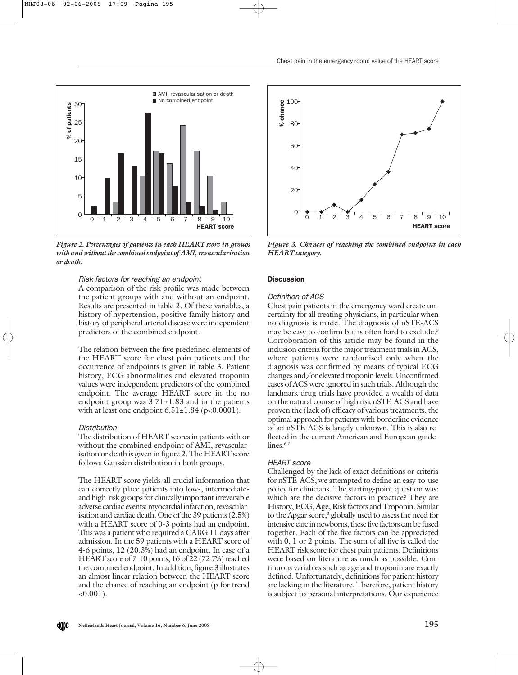



*Figure 2. Percentages of patients in each HEART score in groups with and without the combined endpoint of AMI, revascularisation or death.* 

## Risk factors for reaching an endpoint

A comparison of the risk profile was made between the patient groups with and without an endpoint. Results are presented in table 2. Of these variables, a history of hypertension, positive family history and history of peripheral arterial disease were independent predictors of the combined endpoint.

The relation between the five predefined elements of the HEART score for chest pain patients and the occurrence of endpoints is given in table 3. Patient history, ECG abnormalities and elevated troponin values were independent predictors of the combined endpoint. The average HEART score in the no endpoint group was  $3.71 \pm 1.83$  and in the patients with at least one endpoint  $6.51 \pm 1.84$  (p<0.0001).

## **Distribution**

d(II)c

The distribution of HEART scores in patients with or without the combined endpoint of AMI, revascularisation or death is given in figure 2. The HEART score follows Gaussian distribution in both groups.

The HEART score yields all crucial information that can correctly place patients into low-, intermediateand high-risk groups for clinically important irreversible adverse cardiac events: myocardial infarction, revascularisation and cardiac death. One of the 39 patients (2.5%) with a HEART score of 0-3 points had an endpoint. This was a patient who required a CABG 11 days after admission. In the 59 patients with a HEART score of 4-6 points, 12 (20.3%) had an endpoint. In case of a HEART score of 7-10 points, 16 of 22 (72.7%) reached the combined endpoint. In addition, figure 3 illustrates an almost linear relation between the HEART score and the chance of reaching an endpoint (p for trend  $<0.001$ ).



*Figure 3. Chances of reaching the combined endpoint in each HEART category.* 

## **Discussion**

#### Definition of ACS

Chest pain patients in the emergency ward create uncertainty for all treating physicians, in particular when no diagnosis is made. The diagnosis of nSTE-ACS may be easy to confirm but is often hard to exclude.<sup>5</sup> Corroboration of this article may be found in the inclusion criteria for the major treatment trials in ACS, where patients were randomised only when the diagnosis was confirmed by means of typical ECG changes and/or elevated troponin levels. Unconfirmed cases of ACS were ignored in such trials. Although the landmark drug trials have provided a wealth of data on the natural course of high risk nSTE-ACS and have proven the (lack of) efficacy of various treatments, the optimal approach for patients with borderline evidence of an nSTE-ACS is largely unknown. This is also reflected in the current American and European guidelines.<sup>6,7</sup>

#### HEART score

Challenged by the lack of exact definitions or criteria for nSTE-ACS, we attempted to define an easy-to-use policy for clinicians. The starting-point question was: which are the decisive factors in practice? They are **H**istory, **E**CG, **A**ge, **R**isk factors and **T**roponin. Similar to the Apgar score,<sup>8</sup> globally used to assess the need for intensive care in newborns, these five factors can be fused together. Each of the five factors can be appreciated with 0, 1 or 2 points. The sum of all five is called the HEART risk score for chest pain patients. Definitions were based on literature as much as possible. Continuous variables such as age and troponin are exactly defined. Unfortunately, definitions for patient history are lacking in the literature. Therefore, patient history is subject to personal interpretations. Our experience